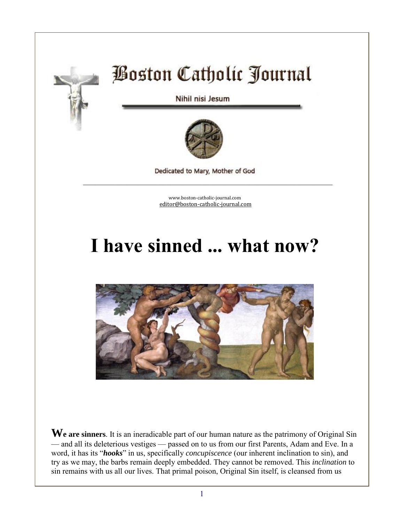

# **Boston Catholic Journal**

Nihil nisi Jesum



Dedicated to Mary, Mother of God \_\_\_\_\_\_\_\_\_\_\_\_\_\_\_\_\_\_\_\_\_\_\_\_\_\_\_\_\_\_\_\_\_\_\_\_\_\_\_\_\_\_\_\_\_\_\_\_\_\_\_\_\_\_\_\_\_\_\_\_\_\_\_

> [www.boston-catholic-journal.com](http://www.boston-catholic-journal.com/) [editor@boston-catholic-journal.com](mailto:editor@boston-catholic-journal.com)

## **I have sinned ... what now?**



**We are sinners**. It is an ineradicable part of our human nature as the patrimony of Original Sin — and all its deleterious vestiges — passed on to us from our first Parents, Adam and Eve. In a word, it has its "*hooks*" in us, specifically *concupiscence* (our inherent inclination to sin), and try as we may, the barbs remain deeply embedded. They cannot be removed. This *inclination* to sin remains with us all our lives. That primal poison, Original Sin itself, is cleansed from us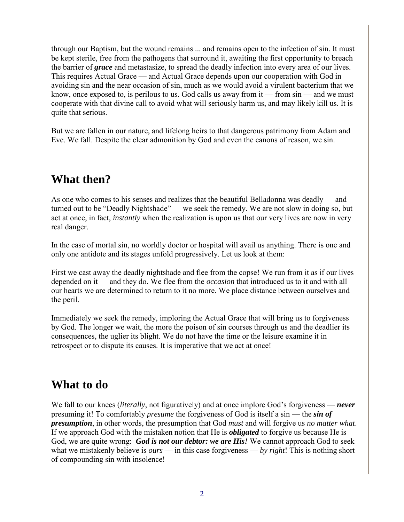through our Baptism, but the wound remains ... and remains open to the infection of sin. It must be kept sterile, free from the pathogens that surround it, awaiting the first opportunity to breach the barrier of *grace* and metastasize, to spread the deadly infection into every area of our lives. This requires Actual Grace — and Actual Grace depends upon our cooperation with God in avoiding sin and the near occasion of sin, much as we would avoid a virulent bacterium that we know, once exposed to, is perilous to us. God calls us away from it — from sin — and we must cooperate with that divine call to avoid what will seriously harm us, and may likely kill us. It is quite that serious.

But we are fallen in our nature, and lifelong heirs to that dangerous patrimony from Adam and Eve. We fall. Despite the clear admonition by God and even the canons of reason, we sin.

## **What then?**

As one who comes to his senses and realizes that the beautiful Belladonna was deadly — and turned out to be "Deadly Nightshade" — we seek the remedy. We are not slow in doing so, but act at once, in fact, *instantly* when the realization is upon us that our very lives are now in very real danger.

In the case of mortal sin, no worldly doctor or hospital will avail us anything. There is one and only one antidote and its stages unfold progressively. Let us look at them:

First we cast away the deadly nightshade and flee from the copse! We run from it as if our lives depended on it — and they do. We flee from the *occasion* that introduced us to it and with all our hearts we are determined to return to it no more. We place distance between ourselves and the peril.

Immediately we seek the remedy, imploring the Actual Grace that will bring us to forgiveness by God. The longer we wait, the more the poison of sin courses through us and the deadlier its consequences, the uglier its blight. We do not have the time or the leisure examine it in retrospect or to dispute its causes. It is imperative that we act at once!

#### **What to do**

We fall to our knees (*literally*, not figuratively) and at once implore God's forgiveness — *never* presuming it! To comfortably *presume* the forgiveness of God is itself a sin — the *sin of presumption*, in other words, the presumption that God *must* and will forgive us *no matter what*. If we approach God with the mistaken notion that He is *obligated* to forgive us because He is God, we are quite wrong: *God is not our debtor: we are His!* We cannot approach God to seek what we mistakenly believe is *ours* — in this case forgiveness — *by right*! This is nothing short of compounding sin with insolence!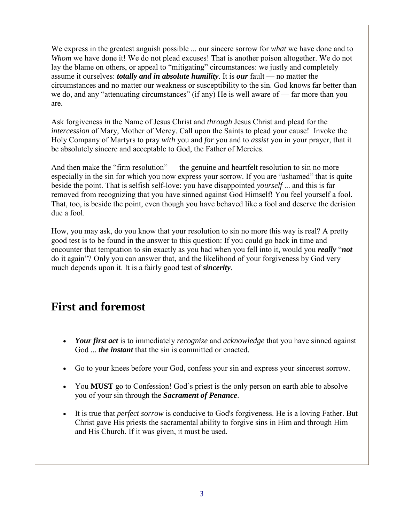We express in the greatest anguish possible ... our sincere sorrow for *what* we have done and to *Whom* we have done it! We do not plead excuses! That is another poison altogether. We do not lay the blame on others, or appeal to "mitigating" circumstances: we justly and completely assume it ourselves: *totally and in absolute humility*. It is *our* fault — no matter the circumstances and no matter our weakness or susceptibility to the sin. God knows far better than we do, and any "attenuating circumstances" (if any) He is well aware of — far more than you are.

Ask forgiveness *in* the Name of Jesus Christ and *through* Jesus Christ and plead for the *intercession* of Mary, Mother of Mercy. Call upon the Saints to plead your cause! Invoke the Holy Company of Martyrs to pray *with* you and *for* you and to *assist* you in your prayer, that it be absolutely sincere and acceptable to God, the Father of Mercies.

And then make the "firm resolution" — the genuine and heartfelt resolution to sin no more especially in the sin for which you now express your sorrow. If you are "ashamed" that is quite beside the point. That is selfish self-love: you have disappointed *yourself* ... and this is far removed from recognizing that you have sinned against God Himself! You feel yourself a fool. That, too, is beside the point, even though you have behaved like a fool and deserve the derision due a fool.

How, you may ask, do you know that your resolution to sin no more this way is real? A pretty good test is to be found in the answer to this question: If you could go back in time and encounter that temptation to sin exactly as you had when you fell into it, would you *really* "*not* do it again"? Only you can answer that, and the likelihood of your forgiveness by God very much depends upon it. It is a fairly good test of *sincerity*.

#### **First and foremost**

- *Your first act* is to immediately *recognize* and *acknowledge* that you have sinned against God ... *the instant* that the sin is committed or enacted.
- Go to your knees before your God, confess your sin and express your sincerest sorrow.
- You **MUST** go to Confession! God's priest is the only person on earth able to absolve you of your sin through the *Sacrament of Penance*.
- It is true that *perfect sorrow* is conducive to God's forgiveness. He is a loving Father. But Christ gave His priests the sacramental ability to forgive sins in Him and through Him and His Church. If it was given, it must be used.